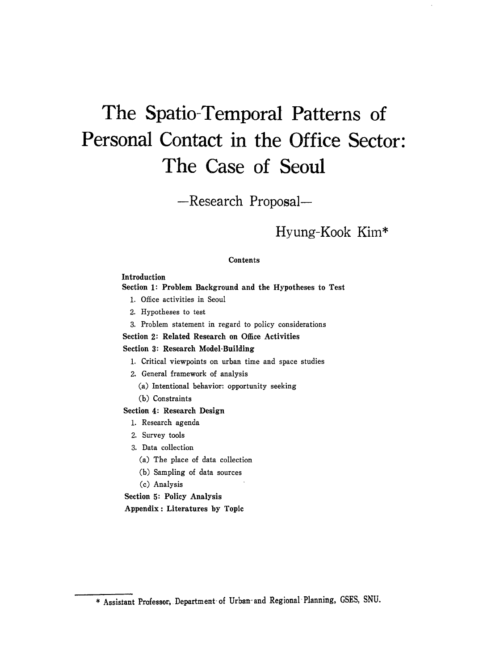# **The Spatio-Temporal Patterns of Personal Contact in the Office Sector: The Case of Seoul**

-Research Proposal-

# Hyung-Kook Kim\*

# **Contents**

# Introduction

## Section 1: Problem Background and the Hypotheses to Test

- 1. Office activities in Seoul
- 2. Hypotheses to test
- 3. Problem statement in regard to policy considerations

# Section 2: Related Research on Office Activities

# Section 3: Research Model-Building

- 1. Critical viewpoints on urban time and space studies
- 2. General framework of analysis
	- (a) Intentional behavior: opportunity seeking
	- (b) Constraints

# Section 4: Research Design

- 1. Research agenda
- 2. Survey tools
- 3. Data collection
	- (a) The place of data collection
	- (b) Sampling of data sources
	- (c) Analysis

Section 5: Policy Analysis Appendix: Literatures by Topic

<sup>\*</sup> Assistant Professor, Department- of Urban- and Regional- Planning, GSES, SNU.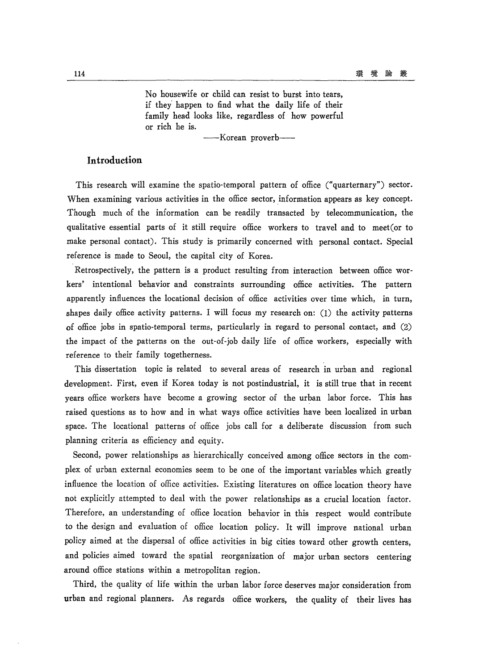No housewife or child can resist to burst into tears, if they' happen to find what the daily life of their family head looks like, regardless of how powerful or rich he is.

-Korean proverb-

# **Introduction**

This research will examine the spatio-temporal pattern of office ("quarternary") sector. When examining various activities in the office sector, information appears as key concept. Though much of the information can be readily transacted by telecommunication, the qualitative essential parts of it still require office workers to travel and to meet(or to make personal contact). This study is primarily concerned with personal contact. Special reference is made to Seoul, the capital city of Korea.

Retrospectively, the pattern is a product resulting from interaction between office workers' intentional behavior and constraints surrounding office activities. The pattern apparently influences the locational decision of office activities over time which, in turn, shapes daily office activity patterns. I will focus my research on:  $(1)$  the activity patterns of office jobs in spatio-temporal terms, particularly in regard to personal contact, and  $(2)$ the impact of the patterns on the out-of-job daily life of office workers, especially with reference to their family togetherness.

This dissertation topic is related to several areas of research in urban and regional development. First, even if Korea today is not postindustrial, it is still true that in recent years office workers have become a growing sector of the urban labor force. This has raised questions as to how and in what ways office activities have been localized in urban space. The locational patterns of office jobs call for a deliberate discussion from such planning criteria as efficiency and equity.

Second, power relationships as hierarchically conceived among office sectors in the complex of urban external economies seem to be one of the important variables which greatly influence the location of office activities. Existing literatures on office location theory have not explicitly attempted to deal with the power relationships as a crucial location factor. Therefore, an understanding of office location behavior in this respect would contribute to the design and evaluation of office location policy. It will improve national urban policy aimed at the dispersal of office activities in big cities toward other growth centers, and policies aimed toward the spatial reorganization of major urban sectors centering around office stations within a metropolitan region.

Third, the quality of life within the urban labor force deserves major consideration from urban and regional planners. As regards office workers, the quality of their lives has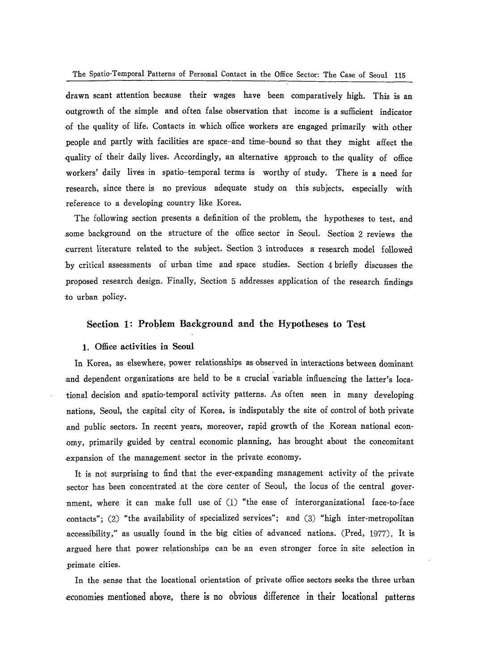The Spatio-Temporal Patterns of Personal Contact in the Office Sector: The Case of Seoul 115

drawn scant attention because their wages have been comparatively high. This is an outgrowth of the simple and often false observation that income is a sufficient indicator ·of the quality of life. Contacts in which office workers are engaged primarily with other people and partly with facilities are space-and time-bound so that they might affect the quality of their daily lives. Accordingly, an alternative approach to the quality of office workers' daily lives in spatio-temporal terms is worthy of study. There is a need for research, since there is no previous adequate study on this subjects, especially with reference to a developing country like Korea.

The following section presents a definition of the problem, the hypotheses to test, and ,some background on the structure of the office sector in Seoul. Section 2 reviews the -current literature related to the subject. Section 3 introduces a' research model followed by critical assessments of urban time and space studies. Section 4 briefly discusses the proposed research design. Finally, Section 5 addresses application of the research findings to urban policy.

#### Section 1: Problem Background and the Hypotheses to Test

#### 1. Office activities in Seoul

In Korea, as elsewhere, power relationships as observed in interactions between dominant and dependent organizations are held to be a crucial variable influencing the latter's locational decision and spatio-temporal activity patterns. As often seen in many developing nations, Seoul, the capital city of Korea, is indisputably the site of control of both private and public sectors. In recent years, moreover, rapid growth of the Korean national economy, primarily guided by central economic planning, has brought about the concomitant ,expansion of the management sector in the private economy.

It is not surprising to find that the ever-expanding management activity of the private sector has been concentrated at the core center of Seoul, the locus of the central government, where it can make full use of (1) "the ease of interorganizational face-to-face contacts"; (2) "the availability of specialized services"; and (3) "high inter-metropolitan .accessibility," as usually found in the big cities of advanced nations. (Pred, 1977). It is .argued here that power relationships can be an even stronger force in site selection in primate cities.

In the sense that the loeational orientation of private office sectors seeks the three urban economies mentioned above, there is no obvious difference in their locational patterns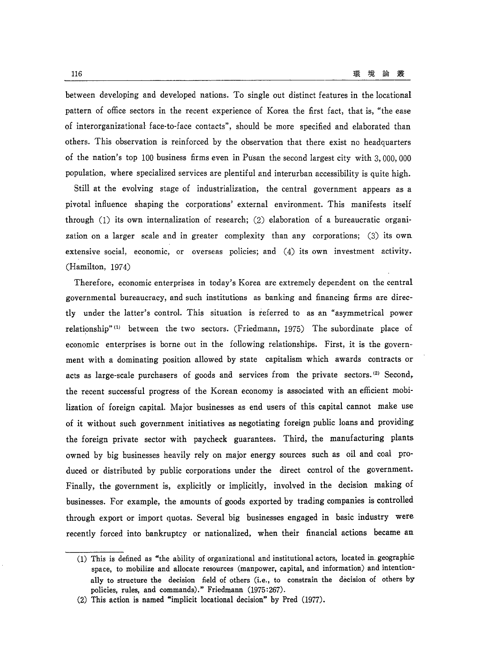between developing and developed nations. To single out distinct features in the locational pattern of office sectors in the recent experience of Korea the first fact, that is, "the ease of interorganizational face-to-face contacts", should be more specified and elaborated than others. This observation is reinforced by the observation that there exist no headquarters of the nation's top 100 business firms even in Pusan the second largest city with 3, 000, 000 population, where specialized services are plentiful and interurban accessibility is quite high.

Still at the evolving stage of industrialization, the central government appears as a pivotal influence shaping the corporations' external environment. This manifests itself through  $(1)$  its own internalization of research;  $(2)$  elaboration of a bureaucratic organization on a larger scale and in greater complexity than any corporations; (3) its own extensive social, economic, or overseas policies; and (4) its own investment activity. (Hamilton, 1974)

Therefore, economic enterprises in today's Korea are extremely dependent on the central governmental bureaucracy, and such institutions as banking and financing firms are directly under the latter's control. This situation is referred to as an "asymmetrical power relationship" (1) between the two sectors. (Friedmann, 1975) The subordinate place of economic enterprises is borne out in the following relationships. First, it is the government with a dominating position allowed by state capitalism which awards contracts or acts as large-scale purchasers of goods and services from the private sectors.<sup>(2)</sup> Second, the recent successful progress of the Korean economy is associated with an efficient mobilization of foreign capital. Major businesses as end users of this capital cannot make use of it without such government initiatives as negotiating foreign public loans and providing the foreign private sector with paycheck guarantees. Third, the manufacturing plants. owned by big businesses heavily rely on major energy sources such as oil and coal produced or distributed by public corporations under the direct control of the government. Finally, the government is, explicitly or implicitly, involved in the decision making of businesses. For example, the amounts of goods exported by trading companies is controlled through export or import quotas. Several big businesses engaged in basic industry were recently forced into bankruptcy or nationalized, when their financial actions became an

<sup>(1)</sup> This is defined as "the ability of organizational and institutional actors, located in. geographic space, to mobilize and allocate resources (manpower, capital, and information) and intentionally to structure the decision field of others (i.e., to constrain the decision of others by policies, rules, and commands)." Friedmann (1975:267).

<sup>(2)</sup> This action is named "implicit locational decision" by Pred (1977).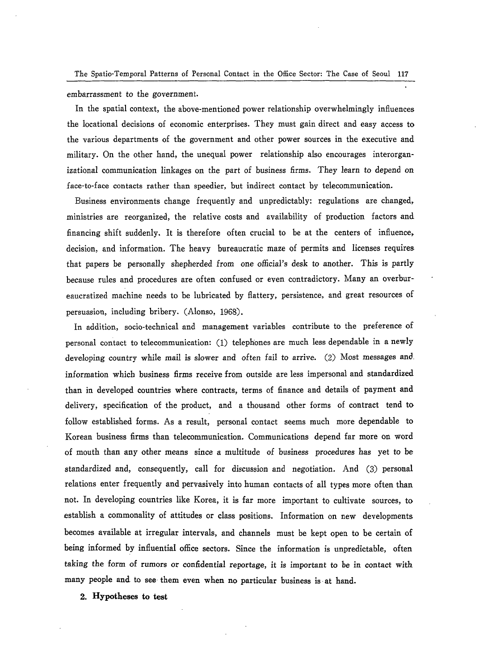The Spatia-Temporal Patterns of Personal Contact in the Office Sector: The Case of Seoul 117

embarrassment to the government\_

In the spatial context, the above-mentioned power relationship overwhelmingly influences the locational decisions of economic enterprises\_ They must gain direct and easy access to the various departments of the government and other power sources in the executive and military. On the other hand, the unequal power relationship also encourages interorganizational communication linkages on the part of business firms. They learn to depend on face-to-face contacts rather than speedier, but indirect contact by telecommunication.

Business environments change frequently and unpredictably: regulations are changed, ministries are reorganized, the relative costs and availability of production factors and financing shift suddenly. It is therefore often crucial to be at the centers of influence, decision, and information. The heavy bureaucratic maze of permits and licenses requires that papers be personally shepherded from one official's desk to another. This is partly because rules and procedures are often confused or even contradictory. Many an overbureaucratized machine needs to be lubricated by flattery, persistence, and great resources of persuasion, including bribery. (Alonso, 1968).

In addition, socio-technical and management variables contribute to the preference of personal contact to telecommunication: (1) telephones are much less dependable in a newly developing country while mail is slower and often fail to arrive. (2) Most messages and. information which business firms receive from outside are less impersonal and standardized than in developed countries where contracts, terms of finance and details of payment and delivery, specification of the product, and a thousand other forms of contract tend to follow established forms. As a result, personal contact seems much more dependable to Korean business firms than telecommunication. Communications depend far more on word of mouth than any other means since a multitude of business procedures has yet to be standardized and, consequently, call for discussion and negotiation. And (3) personal relations enter frequently and pervasively into human contacts of all types more often than not. In developing countries like Korea, it is far more important to cultivate sources, to establish a commonality of attitudes or class positions. Information on new developments becomes available at irregular intervals, and channels must be kept open to be certain of being informed by influential office sectors. Since the information is unpredictable, often taking the form of rumors or confidential reportage, it is important to be in contact with many people and to see them even when no particular business is at hand.

2. Hypotheses to test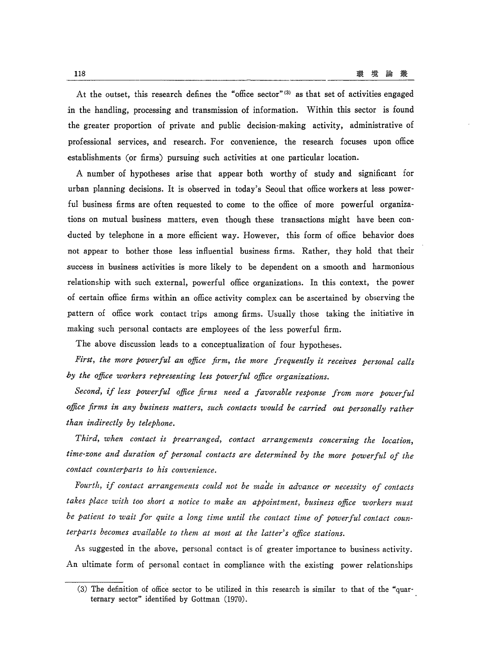At the outset, this research defines the "office sector" (3) as that set of activities engaged in the handling, processing and transmission of information. Within this sector is found the greater proportion of private and public decision-making activity, administrative of professional services, and research. For convenience, the research focuses upon office establishments (or firms) pursuing such activities at one particular location.

A number of hypotheses arise that appear both worthy of study and significant for urban planning decisions. It is observed in today's Seoul that office workers at less powerful business firms are often requested to come to the office of more powerful organizations on mutual business matters, even though these transactions might have been conducted by telephone in a more efficient way. However, this form of office behavior does not appear to bother those less influential business firms. Rather, they hold that their success in business activities is more likely to be dependent on a smooth and harmonious relationship with such external, powerful office organizations. In this context, the power of certain office firms within an office activity complex can be ascertained by observing the pattern of office work contact trips among firms. Usually those taking the initiative in making such personal contacts are employees of the less powerful firm.

The above discussion leads to a conceptualization of four hypotheses.

*First, the more powerful an office firm, the more frequently it receives personal calls hy the office workers representing less powerful office organizations.* 

*Second, if less powerful office firms need a favorable response from more powerful office firms in any business matters, such contacts would be carried out personally rather than indirectly by telephone.* 

*Third, when contact is prearranged, contact arrangements concerning the location, time-zone and duration of personal contacts are determined by the more powerful of the contact counterparts to his convenience.* 

*Fourth, if contact arrangements could not be made in advance or necessity of contacts*  takes place with too short a notice to make an appointment, business office workers must *be patient to wait for quite a long time until the contact time of powerful contact counterparts becomes available to them at most at the latter's office stations.* 

As suggested in the above, personal contact is of greater importance to business activity. An ultimate form of personal contact in compliance with the existing power relationships

<sup>(3)</sup> The definition of office sector to be utilized in this research is similar to that of the "quarternary sector" identified by Gottman (1970\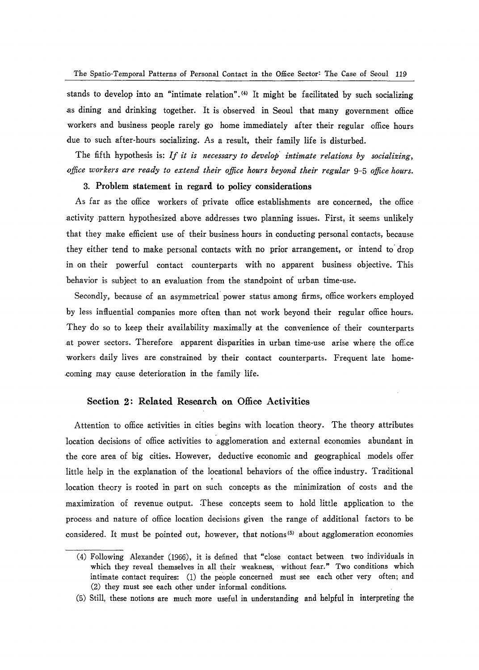stands to develop into an "intimate relation". (4) It might be facilitated by such socializing .as dining and drinking together. It is observed in Seoul that many government office workers and business people rarely go home immediately after their regular office hours due to such after-hours socializing. As a result, their family life is disturbed.

The fifth hypothesis is: If it is necessary to develop intimate relations by socializing, *office workers are ready to extend their office hours beyond their regular* 9-5 *office hours.* 

# 3. Problem statement in regard to policy considerations

As far as the office workers of private office establishments are concerned, the office activity pattern hypothesized above addresses two planning issues. First, it seems unlikely that they make efficient use of their business hours in conducting personal contacts, because they either tend to make personal contacts with no prior arrangement, or intend to' drop in on their powerful contact counterparts with no apparent business objective. This behavior is subject to an evaluation from the standpoint of urban time-use.

Secondly, because of an asymmetrical power status among firms, office workers employed by less influential companies more often than not work beyond their regular office hours. They do so to keep their availability maximally at the convenience of their counterparts at power sectors. Therefore apparent disparities in urban time-use arise where the office workers daily lives are constrained by their contact counterparts. Frequent late homecoming may cause deterioration in the family life.

#### Section 2: Related Research on Office Activities

Attention to office activities in cities begins with location theory. The theory attributes location decisions of office activities to agglomeration and external economies abundant in the core area of big cities. However, deductive economic and geographical models offer little help in the explanation of the locational behaviors of the office industry. Traditional location theory is rooted in part on such concepts as the minimization of costs and the maximization of revenue output. These concepts seem to hold little application to the process and nature of office location decisions given the range of additional factors to be considered. It must be pointed out, however, that notions<sup>(5)</sup> about agglomeration economies

<sup>(4)</sup> Following Alexander (1966), it is defined that "close contact between two individuals in which they reveal themselves in all their weakness, without fear." Two conditions which intimate contact requires: (1) the people concerned must see each other very often; and (2) they must see each other under informal conditions.

<sup>(5)</sup> Still, these notions are much more useful in understanding and helpful in interpreting the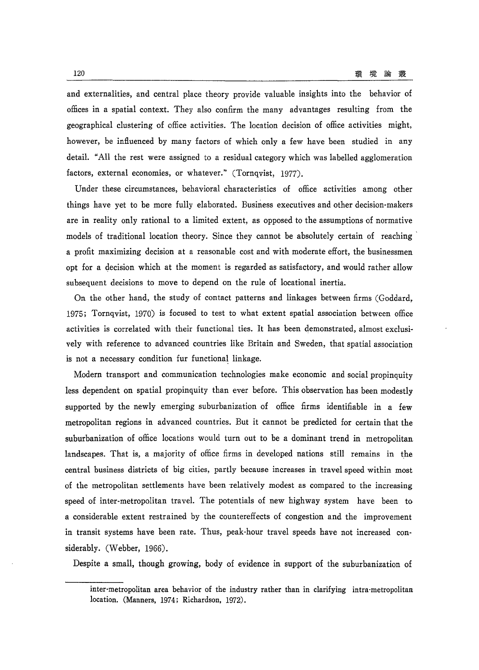and externalities, and central place theory provide valuable insights into the behavior of offices in a spatial context. They also confirm the many advantages resulting from the geographical clustering of office activities. The location decision of office activities might, however, be influenced by many factors of which only a few have been studied in any detail. "All the rest were assigned to a residual category which was labelled agglomeration factors, external economies, or whatever." (Tornqvist, 1977).

Under these circumstances, behavioral characteristics of office activities among other things have yet to be more fully elaborated. Business executives and other decision·makers are in reality only rational to a limited extent, as opposed to the assumptions of normative models of traditional location theory. Since they cannot be absolutely certain of reaching' a profit maximizing decision at a reasonable cost and with moderate effort, the businessmen opt for a decision which at the moment is regarded as satisfactory, and would rather allow subsequent decisions to move to depend on the rule of locational inertia.

On the other hand, the study of contact patterns and linkages between firms (Goddard, 1975; Tornqvist, 1970) is focused to test to what extent spatial association between office activities is correlated with their functional ties. It has been demonstrated, almost exclusively with reference to advanced countries like Britain and Sweden, that spatial association is not a necessary condition fur functional linkage.

Modern transport and communication technologies make economic and social propinquity less dependent on spatial propinquity than ever before. This observation has been modestly supported by the newly emerging suburbanization of office firms identifiable in a few metropolitan regions in advanced countries. But it cannot be predicted for certain that the suburbanization of office locations would turn out to be a dominant trend in metropolitan landscapes. That is, a majority of office firms in developed nations still remains in the central business districts of big cities, partly because increases in travel speed within most of the metropolitan settlements have been -relatively modest as compared to the increasing speed of inter-metropolitan travel. The potentials of new highway system have been to a considerable extent restrained by the countereffects of congestion and the improvement in transit systems have been rate. Thus, peak-hour travel speeds have not increased considerably. (Webber, 1966).

Despite a small, though growing, body of evidence in support of the suburbanization of

inter-metropolitan area behavior of the industry rather than in clarifying intra-metropolitan location. (Manners, 1974; Richardson, 1972).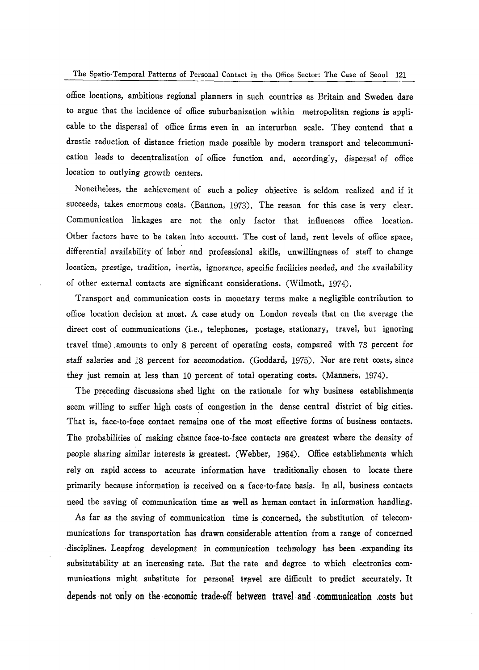office locations, ambitious regional planners in such countries as Britain and Sweden dare to argue that the incidence of office suburbanization within metropolitan regions is applicable to the dispersal of office firms even in an interurban scale. They contend that a drastic reduction of distance friction made possible by modern transport and telecommunication leads to decentralization of office function and, accordingly, dispersal of office location to outlying growth centers.

Nonetheless, the achievement of such a policy objective is seldom realized and if it succeeds, takes enormous costs. (Bannon, 1973). The reason for this case is very clear. Communication linkages are not the only factor that influences office location\_ Other factors have to be taken into account. The cost of land, rent levels of office space, differential availability of labor and professional skills, unwillingness of staff to change locaticn, prestige, tradition, inertia, ignorance, specific facilities needed, and the availability of other external contacts are significant considerations. (Wilmoth, 1974).

Transport and communication costs in monetary terms make a negligible contribution to office location decision at most. A case study on London reveals that on the average the direct cost of communications (i.e., telephones, postage, stationary, travel, but ignoring travel time) .amounts to only 8 percent of operating costs, compared with 73 percent for staff salaries and 18 percent for accomodation. (Goddard, 1975). Nor are rent costs, since they just remain at less than 10 percent of total operating costs. (Manners, 1974).

The preceding discussions shed light on the rationale for why business establishments seem willing to suffer high costs of congestion in the dense central district of big cities. That is, face-to-face contact remains one of the most effective forms of business contacts. The probabilities of making chance face-to-face contacts are greatest where the density of people sharing similar interests is greatest. (Webber, 1964). Office establishments which rely on rapid access to accurate information have traditionally chosen to locate there primarily because information is received on a face-to-face basis. In all, business contacts need the saving of communication time as well as human contact in information handling.

As far as the saving of communication time is concerned, the substitution of telecommunications for transportation has drawn considerable attention from a range of concerned disciplines. Leapfrog development in communication technology has been ,expanding its subsitutability at an increasing rate. But the rate and degree to which electronics communications might substitute for personal travel are difficult to predict accurately. It depends not only on the economic trade-off between travel and communication costs but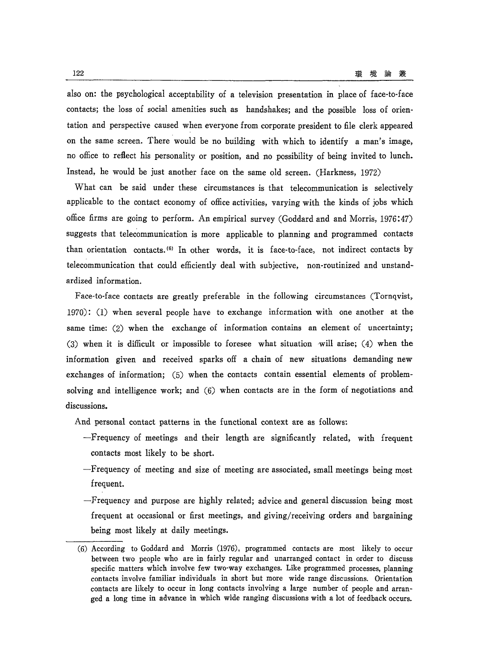also on: the psychological acceptability of a television presentation in place of face-to-face contacts; the loss of social amenities such as handshakes; and the possible loss of orientation and perspective caused when everyone from corporate president to file clerk appeared on the same screen. There would be no building with which to identify a man's image, no office to reflect his personality or position, and no possibility of being invited to lunch. Instead, he would be just another face on the same old screen. (Harkness, 1972)

What can be said under these circumstances is that telecommunication is selectively applicable to the contact economy of office activities, varying with the kinds of jobs which office firms are going to perform. An empirical survey (Goddard and and Morris, 1976:47) suggests that telecommunication is more applicable to planning and programmed contacts than orientation contacts. (6) In other words, it is face-to-face, not indirect contacts by telecommunication that could efficiently deal with subjective, non-routinized and unstandardized information.

Face-to-face contacts are greatly preferable in the following circumstances (Tornqvist, 1970): (1) when several people have to exchange information with one another at the same time: (2) when the exchange of information contains an element of uncertainty; (3) when it is difficult or impossible to foresee what situation will arise; (4) when the information given and received sparks off a chain of new situations demanding new exchanges of information; (5) when the contacts contain essential elements of problemsolving and intelligence work; and (6) when contacts are in the form of negotiations and discussions.

And personal contact patterns in the functional context are as follows:

- -Frequency of meetings and their length are significantly related, with frequent contacts most likely to be short.
- -Frequency of meeting and size of meeting are associated, small meetings being most frequent.
- -Frequency and purpose are highly related; advice and general discussion being most frequent at occasional or first meetings, and giving/receiving orders and bargaining being most likely at daily meetings.

<sup>(6)</sup> According to Goddard and Morris (1976), programmed contacts are most likely to occur between two people who are in fairly regular and unarranged contact in order to discuss specific matters which involve few two-way exchanges. Like programmed processes, planning contacts involve familiar individuals in short but more wide range discussions. Orientation contacts are likely to occur in long contacts involving a large number of people and arranged a long time in advance in which wide ranging discussions with a lot of feedback occurs.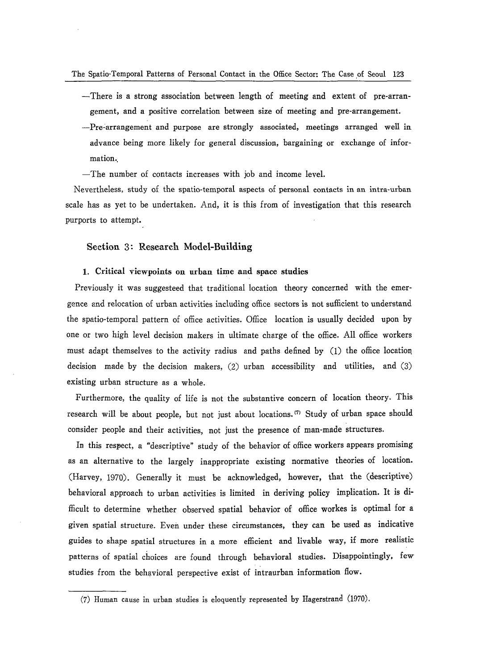- -There is a strong association between length of meeting and extent of pre-arrangement, and a positive correlation between size of meeting and pre-arrangement.
- -Pre-arrangement and purpose are strongly associated, meetings arranged well in advance being more likely for general discussion, bargaining or exchange of information.
- The number of contacts increases with job and income level.

Nevertheless, study of the spatio-temporal aspects of personal contacts in an intra-urban scale has as yet to be undertaken. And, it is this from of investigation that this research purports to attempt.

# Section 3: Research Model-Building

#### 1. Critical viewpoints on urban time and space studies

Previously it was suggesteed that traditional location theory concerned with the emergence and relocation of urban activities including office sectors is not sufficient to understand the spatio-temporal pattern of office activities. Office location is usually decided upon by one or two high level decision makers in ultimate charge of the office. All office workers must adapt themselves to the activity radius and paths defined by (1) the office location. decision made by the decision makers, (2) urban accessibility and utilities, and (3) existing urban structure as a whole.

Furthermore, the quality of life is not the substantive concern of location theory. This research will be about people, but not just about locations. (7) Study of urban space should consider people and their activities, not just the presence of man-made structures.

In this respect, a "descriptive" study of the behavior of office workers appears promising as an alternative to the largely inappropriate existing normative theories of location. (Harvey, 1970). Generally it must be acknowledged, however, that the (descriptive) behavioral approach to urban activities is limited in deriving policy implication. It is difficult to determine whether observed spatial behavior of office workes is optimal for a given spatial structure. Even under these circumstances, they can be used as indicative guides to shape spatial structures in a more efficient and livable way, if more realistic patterns of spatial choices are found through behavioral studies. Disappointingly, few studies from the behavioral perspective exist of intraurban information flow.

<sup>(7)</sup> Human cause in urban studies is eloquently represented by Hagerstrand (1970).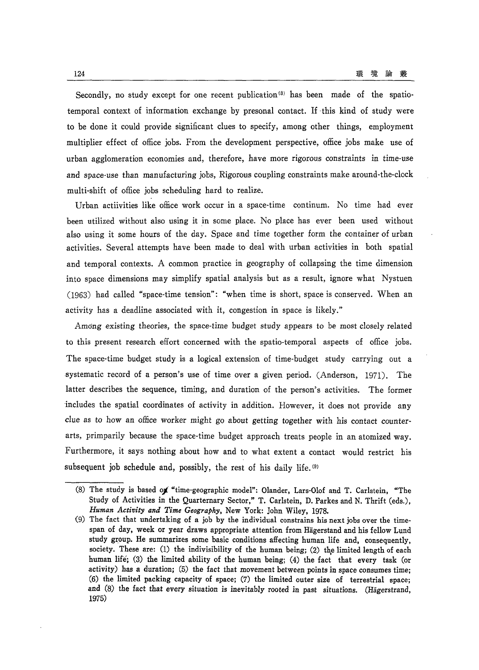Secondly, no study except for one recent publication<sup>(8)</sup> has been made of the spatiotemporal context of information exchange by presonal contact. If ·this kind of study were to be done it could provide significant clues to specify, among other things, employment multiplier effect of office jobs. From the development perspective, office jobs make use of urban agglomeration economies and, therefore, have more rigorous constraints in time-use and space-use than manufacturing jobs, Rigorous coupling constraints make around-the-clock multi-shift of office jobs scheduling hard to realize.

Urban actiivities like office work occur in a space-time continum. No time had ever been utilized without also using it in some place. No place has ever been used without also using it some hours of the day. Space and time together form the container of urban activities. Several attempts have been made to deal with urban activities in both spatial and temporal contexts. A common practice in geography of collapsing the time dimension into space dimensions may simplify spatial analysis but as a result, ignore what Nystuen (1963) had called "space-time tension": "when time is short, space is conserved. When an activity has a deadline associated with it, congestion in space is likely."

Amdng existing theories, the space-time budget study appears to be most closely related to this present research effort concerned with the spatio-temporal aspects of office jobs. The space-time budget study is a logical extension of time-budget study carrying out a systematic record of a person's use of time over a given period. (Anderson,  $1971$ ). The latter describes the sequence, timing, and duration of the person's activities. The former includes the spatial coordinates of activity in addition. However, it does not provide any clue as to how an office worker might go about getting together with his contact counterarts, primparily because the space-time budget approach treats people in an atomized way. Furthermore, it says nothing about how and to what extent a contact would restrict his subsequent job schedule and, possibly, the rest of his daily life. (9)

<sup>(8)</sup> The study is based *oj.* "time-geographic model": Olander, Lars-Olof and T. Carlstein, "The Study of Activities in the Quarternary Sector," T. Carlstein, D. Parkes and N. Thrift (eds.), *Human Activity and Time Geography,* New York: John Wiley, 1978.

<sup>(9)</sup> The fact that undertaking of a job by the individual constrains his next jobs over the timespan of day, week or year draws appropriate attention from Hagerstand and his fellow Lund study group. He summarizes some basic conditions affecting human life and, consequently, society. These are: (1) the indivisibility of the human being; (2) the limited length of each human life; (3) the limited ability of the human being; (4) the fact that every task (or activity) has a duration; (5) the fact that movement between points in space consumes time; (6) the limited packing capacity of space; (7) the limited outer size of terrestrial space; and (8) the fact that every situation is inevitably rooted in past situations. (Hägerstrand, 1975)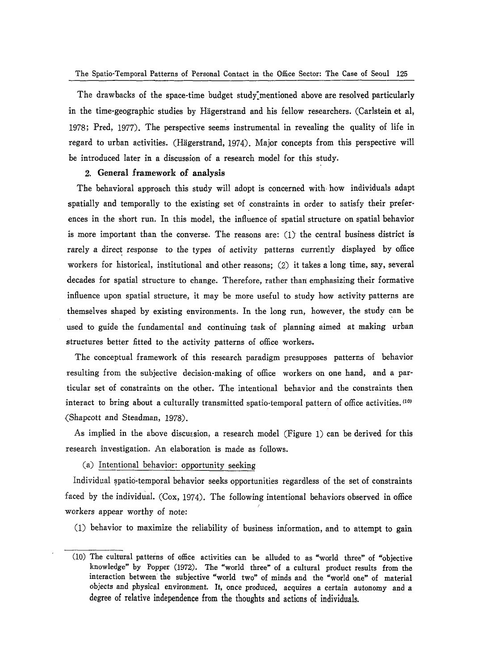The Spatio-Temporal Patterns of Personal Contact in the Office Sector: The Case of Seoul 125

The drawbacks of the space-time budget study mentioned above are resolved particularly in the time-geographic studies by Hägerstrand and his fellow researchers. (Carlstein et al, 1978; Pred, 1977). The perspective seems instrumental in revealing the quality of life in regard to urban activities. (Hagerstrand, 1974). Major concepts from this perspective will be introduced later in a discussion of a research model for this study.

#### 2. General framework of analysis

The behavioral approach this study will adopt is concerned with how individuals adapt spatially and temporally to the existing set of constraints in order to satisfy their preferences in the short run. In this model, the influence of spatial structure on spatial behavior is more important than the converse. The reasons are:  $(1)$  the central business district is rarely a direct response to the types of activity patterns currently displayed by office workers for historical, institutional and other reasons; (2) it takes a long time, say, several decades for spatial structure to change. Therefore, rather than emphasizing their formative influence upon spatial structure, it may be more useful to study how activity patterns are themselves shaped by existing environments. In the long run, however, the study can be used to guide the fundamental and continuing task of planning aimed at making urban structures better fitted to the activity patterns of office workers.

The conceptual framework of this research paradigm presupposes patterns of behavior resulting from the subjective decision-making of office workers on one hand, and a particular set of constraints on the other. The intentional behavior and the constraints then interact to bring about a culturally transmitted spatio-temporal pattern of office activities. (10) (Shapcott and Steadman, 1978).

As implied in the above discussion, a research model (Figure 1) can be derived for this research investigation. An elaboration is made as follows.

(a) Intentional behavior: opportunity seeking

Individual spatio-temporal behavior seeks opportunities regardless of the set of constraints faced by the individual. (Cox, 1974). The following intentional behaviors observed in office workers appear worthy of note:

(1) behavior to maximize the reliability of business information, and to attempt to gain

<sup>(10)</sup> The cultural patterns of office activities can be alluded to as "world three" of "objective knowledge" by Popper (1972). The "world three" of a cultural product results from the interaction between the subjective "world two" of minds and the "world one" of material objects and physical environment. It, once produced. acquires a certain autonomy and a degree of relative independence from the thoughts and actions of individuals.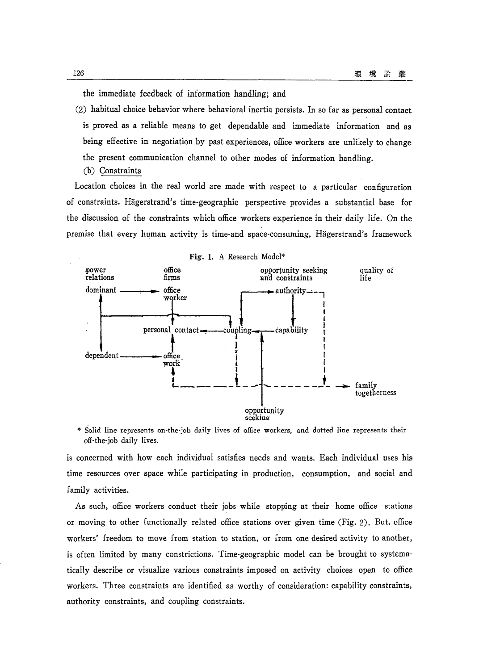the immediate feedback of information handling; and

- (2) habitual choice behavior where behavioral inertia persists. In so far as personal contact is proved as a reliable means to get dependable and immediate information and as being effective in negotiation by past experiences, office workers are unlikely to change the present communication channel to other modes of information handling.
	- (b) Constraints

Location choices in the real world are made with respect to a particular configuration of constraints. Hagerstrand's time-geographic perspective provides a substantial base for the discussion of the constraints which office workers experience in their daily life. On the premise that every human activity is time-and space-consuming, Hagerstrand's framework



\* Solid line represents on-the-job daily lives of office workers, and dotted line represents their off-the-job daily lives.

is concerned with how each individual satisfies needs and wants. Each individual uses his time resources over space while participating in production, consumption, and social and family activities.

As such, office workers conduct their jobs while stopping at their home office stations or moving to other functionally related office stations over given time (Fig. 2). But, office workers' freedom to move from station to station, or from one desired activity to another, is often limited by many constrictions. Time-geographic model can be brought to systematically describe or visualize various constraints imposed on activity choices open to office workers. Three constraints are identified as worthy of consideration: capability constraints, authority constraints, and coupling constraints.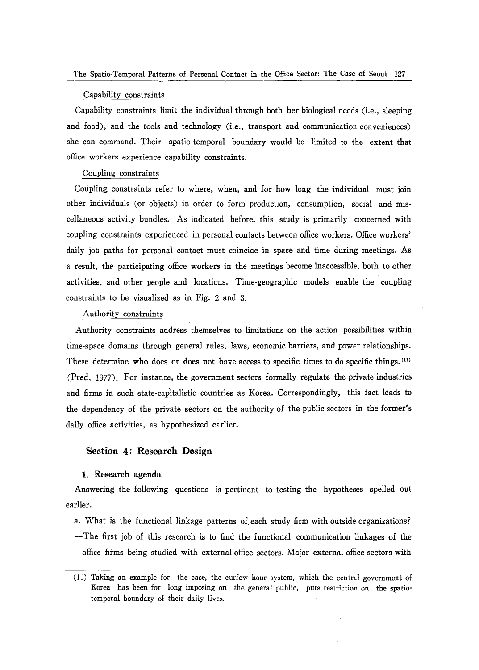#### Capability constraints

Capability constraints limit the individual through both her biological needs (i.e., sleeping and food), and the tools and technology (i.e., transport and communication conveniences) she can command. Their spatio-temporal boundary would be limited to the extent that office workers experience capability constraints.

# Coupling constraints

Coupling constraints refer to where, when, and for how long the individual must join other individuals (or objects) in order to form production, consumption, social and miscellaneous activity bundles. As\_ indicated before, this study is primarily concerned with coupling constraints experienced in personal contacts between office workers. Office workers' daily job paths for personal contact must coincide in space and time during meetings. As a result, the participating office workers in the meetings become inaccessible, both to other activities, and other people and locations. Time-geographic models enable the coupling constraints to be visualized as in Fig. 2 and 3.

#### Authority constraints

Authority constraints address themselves to limitations on the action possibilities within time-space domains through general rules, laws, economic barriers, and power relationships. These determine who does or does not have access to specific times to do specific things.<sup>(11)</sup> (Pred, 1977). For instance, the government sectors formally regulate the private industries and firms in such state-capitalistic countries as Korea. Correspondingly, this fact leads to the dependency of the private sectors on the authority of the public sectors in the former's daily office activities, as hypothesized earlier.

#### **Section 4: Research Design**

# 1. Research agenda

Answering the following questions is pertinent to testing the hypotheses spelled out earlier.

a. What is the functional linkage patterns of each study firm with outside organizations? -The first job of this research is to find the functional communication linkages of the office firms being studied with external office sectors. Major external office sectors with

<sup>(11)</sup> Taking an example for the case, the curfew hour system, which the central government of Korea has been for long imposing on the general public, puts restriction on the spatiotemporal boundary of their daily lives.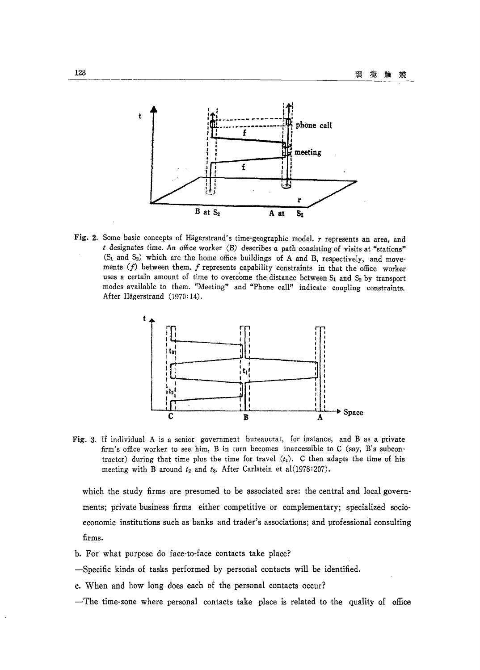

Fig. 2. Some basic concepts of Hagerstrand's time-geographic model. *r* represents an area, and *t* designates time. An office worker (B) describes a path consisting of visits at "stations"  $(S_1$  and  $S_2)$  which are the home office buildings of A and B, respectively, and movements  $(f)$  between them.  $f$  represents capability constraints in that the office worker uses a certain amount of time to overcome the distance between  $S_1$  and  $S_2$  by transport modes available to them. "Meeting" and "Phone call" indicate coupling constraints. After Hägerstrand (1970:14).



Fig. 3. If individual A is a senior government bureaucrat, for instance, and B as a private firm's office worker to see him, B in turn becomes inaccessible to C (say, B's subcontractor) during that time plus the time for travel  $(t_1)$ . C then adapts the time of his meeting with B around  $t_2$  and  $t_3$ . After Carlstein et al(1978:207).

which the study firms are presumed to be associated are: the central and local governments; private business firms either competitive or complementary; specialized socioeconomic institutions such as banks and trader's associations; and professional consulting firms.

- b. For what purpose do face-to-face contacts take place?
- -Specific kinds of tasks performed by personal contacts will be identified.
- c. When and how long does each of the personal contacts occur?
- -The time-zone where personal contacts take place is related to the quality of office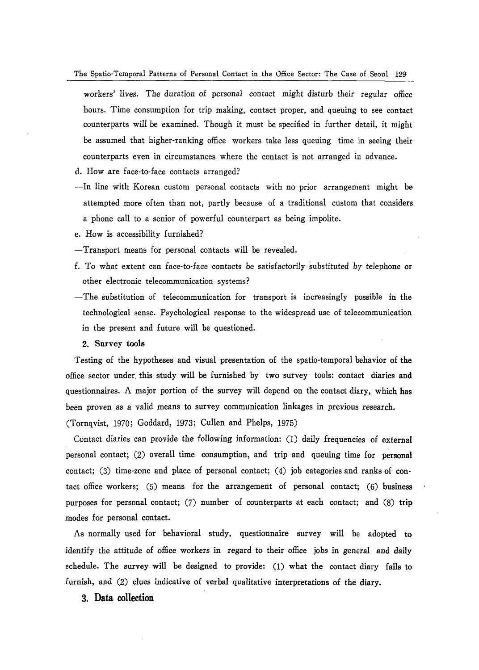- workers' lives. The duration of personal contact might disturb their regular office hours. Time consumption for trip making, contact proper, and queuing to see contact counterparts will be examined. Though it must be specified in further detail, it might be assumed that higher-ranking office workers take less queuing time in seeing their counterparts even in circumstances where the contact is not arranged in advance.
- d. How are face-to-face contacts arranged?
- In line with Korean custom personal contacts with no prior arrangement might be attempted more often than not, partly because of a traditional custom that considers a phone call to a senior of powerful counterpart as being impolite.
- e. How is accessibility furnished?
- -Transport means for personal contacts will be revealed.
- f. To what extent can face-to-face contacts be satisfactorily substituted by telephone or other electronic telecommunication systems?
- -The substitution of telecommunication for transport is increasingly possible in the technological sense. Psychological response to the widespread use of telecommunication in the present and future will be questioned.

#### 2. Survey tools

Testing of the hypotheses and visual presentation of the spatio-temporal behavior of the office sector under this study will be furnished by two survey tools: contact diaries and questionnaires. A major portion of the survey will depend on the contact diary, which has been proven as a valid means to survey communication linkages in previous research.

(Tornqvist, 1970; Goddard, 1973; Cullen and Phelps, 1975)

Contact diaries can provide the following information: (1) daily frequencies of external personal contact;  $(2)$  overall time consumption, and trip and queuing time for personal contact; (3) time-zone and place of personal contact; (4) job categories and ranks of contact office workers; (5) means for the arrangement of personal contact; (6) business purposes for personal contact; (7) number of counterparts at each contact; and (8) trip modes for personal contact.

As normally used for behavioral study, questionnaire survey will be adopted to identify the attitude of office workers in regard to their office jobs in general and daily schedule. The survey will be designed to provide: (1) what the contact diary fails to furnish, and (2) clues indicative of verbal qualitative interpretations of the diary.

#### 3. **Data collection**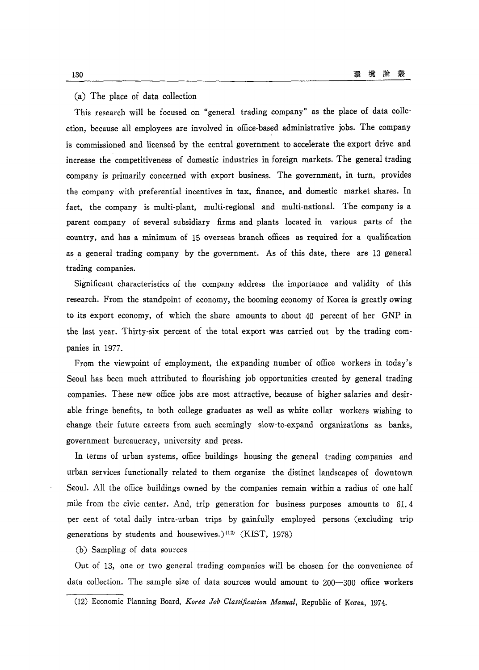#### (a) The place of data collection

This research will be focused on "general trading company" as the place of data collection, because all employees are involved in office-based administrative jobs. The company is commissioned and licensed by the central government to accelerate the export drive and increase the competitiveness of domestic industries in foreign markets. The general trading company is primarily concerned with export business. The government, in turn, provides the company with preferential incentives in tax, finance, and domestic market shares. In fact, the company is multi-plant, multi-regional and multi-national. The company is a parent company of several subsidiary firms and plants located in various parts of the country, and has a minimum of 15 overseas branch offices as required for a qualification as a general trading company by the government. As of this date, there are 13 general trading companies.

Significant characteristics of the company address the importance and validity of this research. From the standpoint of economy, the booming economy of Korea is greatly owing to its export economy, of which the share amounts to about 40 percent of her GNP in the last year. Thirty-six percent of the total export was carried out by the trading companies in 1977.

From the viewpoint of employment, the expanding number of office workers in today's Seoul has been much attributed to flourishing job opportunities created by general trading companies. These new office jobs are most attractive, because of higher salaries and desirable fringe benefits, to both college graduates as well as white collar workers wishing to change their future careers from such seemingly slow-to-expand organizations as banks, government bureaucracy, university and press.

In terms of urban systems, office buildings housing the general trading companies and urban services functionally related to them organize the distinct landscapes of downtown Seoul. All the office buildings owned by the companies remain within a radius of one half mile from the civic center. And, trip generation for business purposes amounts to 61. 4 per cent of total daily intra-urban trips by gainfully employed persons (excluding trip generations by students and housewives.) (12) (KIST, 1978)

(b) Sampling of data sources

Out of 13, one or two general trading companies will be chosen for the convenience of data collection. The sample size of data sources would amount to 200-300 office workers

<sup>(12)</sup> Economic Planning Board, *Korea Job Classification Manual,* Republic of Korea, 1974.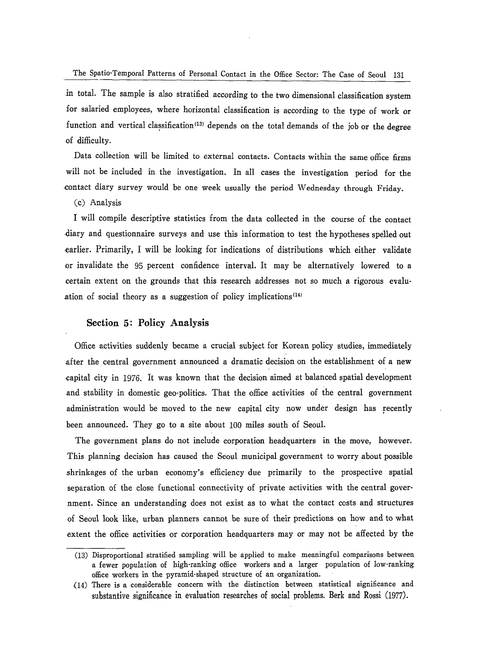in total. The sample is also stratified according to the two dimensional classification system for salaried employees, where horizontal classification is according to the type of work or function and vertical classification<sup>(13)</sup> depends on the total demands of the job or the degree -of difficulty.

Data collection will be limited to external contacts. Contacts within the same office firms will not be included in the investigation. In all cases the investigation period for the contact diary survey would be one week usually the period Wednesday through Friday.

#### (c) Analysis

I will compile descriptive statistics from the data collected in the course of the contact .diary and questionnaire surveys and use this information to test the hypotheses spelled out earlier. Primarily, I will be looking for indications of distributions which either validate or invalidate the 95 percent confidence interval. It may be alternatively lowered to a certain extent on the grounds that this research addresses not so much a rigorous evalu ation of social theory as a suggestion of policy implications  $(14)$ 

# **Section 5: Policy Analysis**

Office activities suddenly became a crucial subject for Korean policy studies, immediately after the central government announced a dramatic decision on the establishment of a new capital city in 1976. It was known that the decision aimed at balanced spatial development and stability in domestic geo-politics. That the office activities of the central government administration would be moved to the new capital city now under design has recently been announced. They go to a site about 100 miles south of Seoul.

The government plans do not include corporation headquarters in the move, however. This planning decision has caused the Seoul municipal government to worry about possible .shrinkages of the urban economy's efficiency due primarily to the prospective spatial separation of the close functional connectivity of private activities with the central government. Since an understanding does not exist as to what the contact costs and structures of Seoul look like, urban planners cannot be sure of their predictions on how and to what extent the office activities or corporation headquarters mayor may not be affected by the

<sup>(13)</sup> Disproportional stratified sampling will be applied to make meaningful comparisons between a fewer population of high-ranking office workers and a larger population of low-ranking office workers in the pyramid-shaped structure of an organization.

<sup>(14)</sup> There is a considerable concern with the distinction between statistical significance and substantive significance in evaluation researches of social problems. Berk and Rossi (1977).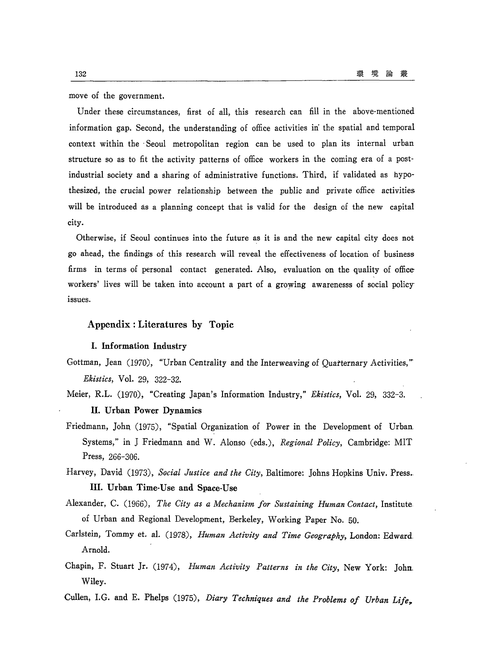move of the government.

Under these circumstances, first of all, this research can fill in the above-mentioned information gap. Second, the understanding of office activities in the spatial and temporal context within the . Seoul metropolitan region can be used to plan its internal urban structure so as to fit the activity patterns of office workers in the coming era of a postindustrial society and a sharing of administrative functions. Third, if validated as hypothesized, the crucial power relationship between the public and private office activities will be introduced as a planning concept that is valid for the design of the new capital city.

Otherwise, if Seoul continues into the future as it is and the new capital city does not go ahead, the findings of this research will reveal the effectiveness of location of business firms in terms of personal contact generated. Also, evaluation on the quality of office workers' lives will be taken into account a part of a growing awarenesss of social policy issues.

# Appendix: Literatures by Topic

#### I. Information Industry

- Gottman, Jean (1970), "Urban Centrality and the Interweaving of Quarternary Activities," *Ekistics,* Vol. 29, 322-32.
- Meier, R.L. (1970), "Creating Japan's Information Industry," *Ekistics,* Vol. 29, 332-3.

# II. Urban Power Dynamics

- Friedmann, John. (1975), "Spatial Organization of Power in the Development of Urban Systems," in J Friedmann and W. Alonso (eds.), *Regional Policy,* Cambridge: MIT Press, 266-306.
- Harvey, David (1973), *Social Justice and the City,* Baltimore: Johns Hopkins Univ. Press. III. Urban Time-Use and Space-Use
- Alexander, C. (1966), *The City as a Mechanism for Sustaining Human Contact,* Institute of Urban and Regional Development, Berkeley, Working Paper No. 50.
- Carlstein, Tommy et. a1. (1978), *Human Activity and Time Geography,* London: Edward. Arnold.
- Chapin, F. Stuart Jr. (1974), *Human Activity Patterns in the City,* New York: John. Wiley.
- Cullen, I.G. and E. Phelps (1975), *Diary Techniques and the Problems of Urban Life*,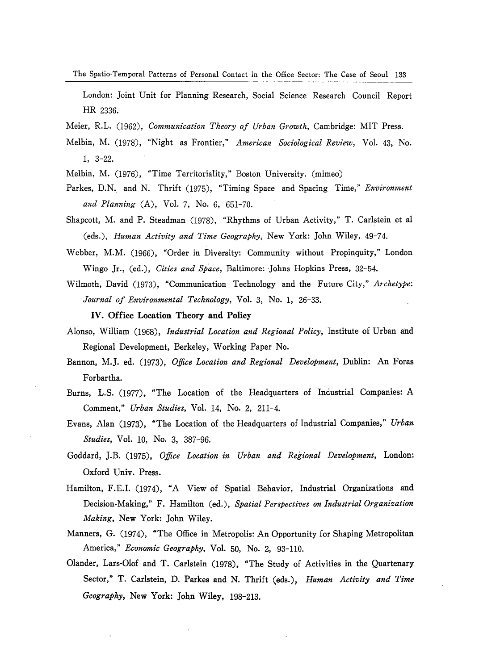The Spatio·Temporal Patterns of Personal Contact in the Office Sector: The Case of Seoul 133

London: Joint Unit for Planning Research, Social Science Research Council Report HR 2336.

Meier, R.L. (1962), *Communication Theory of Urban Growth,* Cambridge: MIT Press.

Melbin, M. (1978), "Night as Frontier," *American Sociological Review,* VoL 43, No. 1, 3-22.

Melbin, M. (1976), "Time Territoriality," Boston University. (mimeo)

- Parkes, D.N. and N. Thrift (1975), "Timing Space and Spacing Time," *Environment and Planning* (A), VoL 7, No.6, 651-70.
- Shapcott, M. and P. Steadman (1978), "Rhythms of Urban Activity," T. Carlstein et al (eds.), *Human Activity and Time Geography,* New York: John Wiley, 49-74.
- Webber, M.M. (1966), "Order in Diversity: Community without Propinquity," London Wingo Jr., (ed.), *Cities and Space*, Baltimore: Johns Hopkins Press, 32-54.
- Wilmoth, David (1973), "Communication Technology and the Future City," *Archetype: Journal of Environmental Technology,* VoL 3, No.1, 26-33.

IV. Office Location Theory and Policy

- Alonso, William (1968), *Industrial Location and Regional Policy,* Institute of Urban and Regional Development, Berkeley, Working Paper No.
- Bannon, M.J. ed. (1973), *Office Location and Regional Development,* Dublin: An Foras Forbartha.
- Burns, L.S. (1977), "The Location of the Headquarters of Industrial Companies: A Comment," *Urban Studies,* VoL 14, No.2, 211-4.
- Evans, Alan (1973), "The Location of the Headquarters of Industrial Companies," *Urban Studies,* VoL 10, No.3, 387-96.
- Goddard, J.B. (1975), *Office Location in Urban and Regional Development,* London: Oxford Univ. Press.
- Hamilton, F.E.I. (1974), "A View of Spatial Behavior, Industrial Organizations and Decision-Making," F. Hamilton (ed.), *Spatial Perspectives on Industrial Organization Making,* New York: John Wiley.
- Manners, G. (1974), "The Office in Metropolis: An Opportunity for Shaping Metropolitan America," *Economic Geography*, Vol. 50, No. 2, 93-110.
- Olander, Lars-Olof and T. Carlstein (1978), "The Study of Activities in the Quartenary Sector," T. Carlstein, D. Parkes and N. Thrift (eds.), *Human Activity and Time Geography,* New York: John Wiley, 198-213.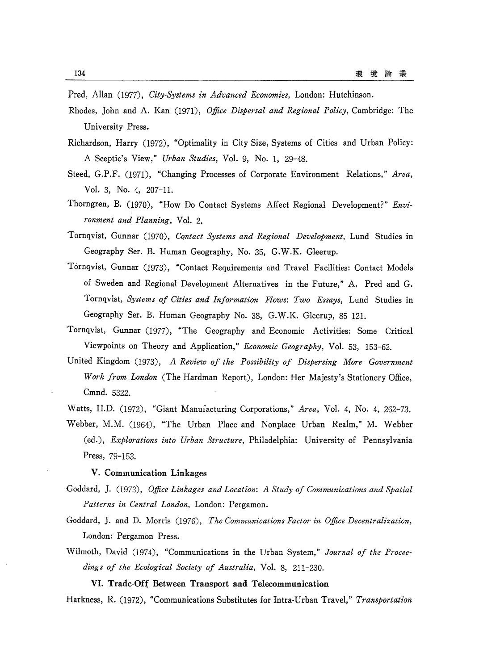Pred, Allan (1977), *City-Systems in Advanced Economies,* London: Hutchinson.

- Rhodes, John and A. Kan (1971), *Office Dispersal and Regional Policy,* Cambridge: The University Press.
- Richardson, Harry (1972), "Optimality in City Size, Systems of Cities and Urban Policy: A Sceptic's View," *Urban Studies,* Vol. 9, No.1, 29-48.
- Steed, G.P.F. (1971), "Changing Processes of Corporate Environment Relations," *Area,*  Vol. 3, No.4, 207-1l.
- Thorngren, B. (1970), "How Do Contact Systems Affect Regional Development?" *Environment and Planning,* Vol. 2.
- Tornqvist, Gunnar (1970), *Contact Systems and Regional Development,* Lund Studies in Geography Ser. B. Human Geography, No. 35, G.W.K. Gleerup.
- Tornqvist, Gunnar (1973), "Contact Requirements and Travel Facilities: Contact Models of Sweden and Regional Development Alternatives in the Future," A. Pred and G. Tornqvist, *Systems of Cities and Information Flows: Two Essays,* Lund Studies in Geography Ser. B. Human Geography No. 38, G.W.K. Gleerup, 85-12l.
- Tornqvist, Gunnar (1977), "The Geography and Economic Activities: Some Critical Viewpoints on Theory and Application," *Economic Geography,* Vol. 53, 153-62.
- United Kingdom (1973), *A Review of the Possibility of Dispersing More Government Work from London* (The Hardman Report), London: Her Majesty's Stationery Office, Cmnd. 5322.

Watts, H.D. (1972), "Giant Manufacturing Corporations," *Area,* Vol. 4, No.4, 262-73. Webber, M.M. (1964), "The Urban Place and Nonplace Urban Realm," M. Webber (ed.), *Explorations into Urban Structure,* Philadelphia: University of Pennsylvania Press, 79-153\_

#### V. Communication Linkages

- Goddard, J. (1973), *Office Linkages and Location: A Study of Communications and Spatial Patterns in Central London,* London: Pergamon.
- Goddard, J. and D. Morris (1976), *The Communications Factor in Office Decentralization,*  London: Pergamon Press.
- Wilmoth, David (1974), "Communications in the Urban System," *Journal of the Proceedings of the Ecological Society of Australia,* Vol. 8, 211-230.

#### VI. Trade-Off Between Transport and Telecommunication

Harkness, R. (1972), "Communications Substitutes for Intra-Urban Travel," *Transportation*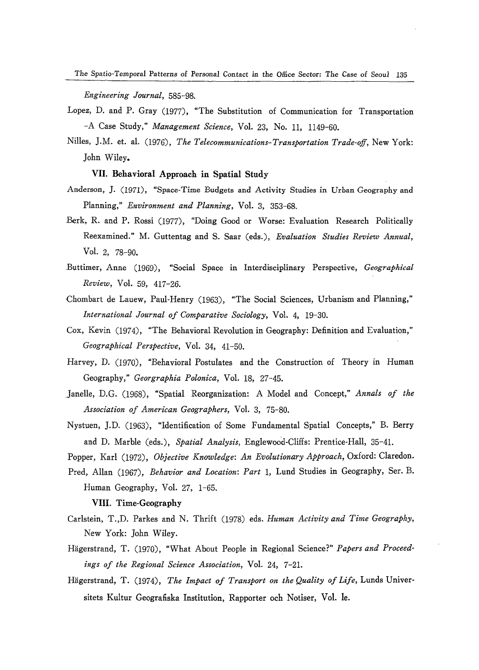The Spatio-Temporal Patterns of Personal Contact *in* the Office Sector: The *Case* of Seoul 135

*Engineering Journal, 585-98\_* 

- Lopez, D. and P. Gray (1977), "The Substitution of Communication for Transportation -A Case Study," *Management Science,* Vol. 23, No. 11, 1149-60.
- Nilles, J.M- et. al. (1976), *The Telecommunications-Transportation Trade-off,* New York: John Wiley.

# VII. Behavioral Approach in Spatial Study

- Anderson, ]. (1971), "Space-Time Budgets and Activity Studies in Urban Geography and Planning," *Environment and Planning,* Vol. 3, 353-68.
- Berk, R. and P. Rossi (1977), "Doing Good or Worse: Evaluation Research Politically Reexamined." M. Guttentag and S. Saar (eds.), *Evaluation Studies Review Annual,*  VoL 2, 78-90.
- Buttimer, Anne (1969), "Social Space in Interdisciplinary Perspective, *Geographical Review,* Vol. 59, 417-26.
- ,Chombart de Lauew, Paul-Henry (1963), "The Social Sciences, Urbanism and Planning," *International Journal of Comparative Sociology,* Vol. 4, 19-30.
- Cox, Kevin (1974), "The Behavioral Revolution in Geography: Definition and Evaluation," *Geographical Perspective,* Vol. 34, 41-50.
- Harvey, D. (1970), "Behavioral Postulates and the Construction of Theory in Human Geography," *Georgraphia Polonica,* Vol. 18, 27-45.
- Janelle, D.G. (1968), "Spatial Reorganization: A Model and Concept," *Annals of the Association of American Geographers,* Vol. 3, 75-80.
- Nystuen, J.D. (1963), "Identification of Some Fundamental Spatial Concepts," B. Berry and D. Marble (eds.), *Spatial Analysis,* Englewood-Cliffs: Prentice-Hall, 35-41.
- Popper, Karl (1972), *Objective Knowledge: An Evolutionary Approach,* Oxford: Claredon.
- Pred, Allan (1967), *Behavior and Location: Part* 1, Lund Studies in Geography, Ser. B. Human Geography, Vol. 27, 1-65.

#### VIII. Time-Geography

- Carlstein, T.,D. Parkes and N. Thrift (1978) eds. *Human Activity and Time Geography,*  New York: John Wiley.
- Hagerstrand, T. (1970), "What About People in Regional Science?" *Papers and Proceedings of the Regional Science Association,* Vol. 24, 7-21.
- Hägerstrand, T. (1974), *The Impact of Transport on the Quality of Life*, Lunds Universitets Kultur Geografiska Institution, Rapporter och Notiser, Vol. Ie.